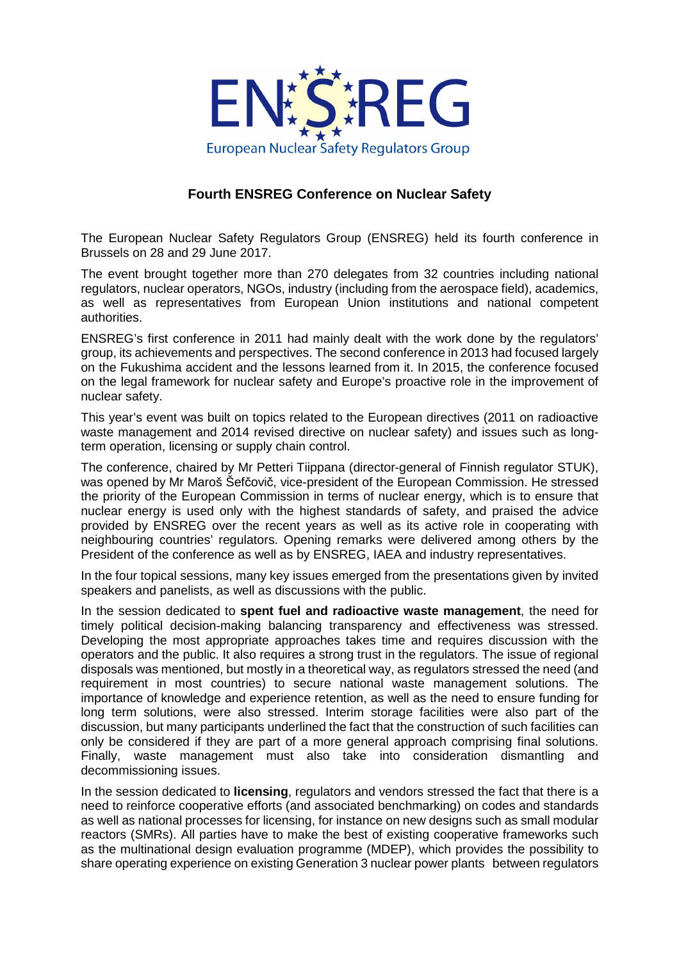

## **Fourth ENSREG Conference on Nuclear Safety**

The European Nuclear Safety Regulators Group (ENSREG) held its fourth conference in Brussels on 28 and 29 June 2017.

The event brought together more than 270 delegates from 32 countries including national regulators, nuclear operators, NGOs, industry (including from the aerospace field), academics, as well as representatives from European Union institutions and national competent authorities.

ENSREG's first conference in 2011 had mainly dealt with the work done by the regulators' group, its achievements and perspectives. The second conference in 2013 had focused largely on the Fukushima accident and the lessons learned from it. In 2015, the conference focused on the legal framework for nuclear safety and Europe's proactive role in the improvement of nuclear safety.

This year's event was built on topics related to the European directives (2011 on radioactive waste management and 2014 revised directive on nuclear safety) and issues such as longterm operation, licensing or supply chain control.

The conference, chaired by Mr Petteri Tiippana (director-general of Finnish regulator STUK), was opened by Mr Maroš Šefčovič, vice-president of the European Commission. He stressed the priority of the European Commission in terms of nuclear energy, which is to ensure that nuclear energy is used only with the highest standards of safety, and praised the advice provided by ENSREG over the recent years as well as its active role in cooperating with neighbouring countries' regulators. Opening remarks were delivered among others by the President of the conference as well as by ENSREG, IAEA and industry representatives.

In the four topical sessions, many key issues emerged from the presentations given by invited speakers and panelists, as well as discussions with the public.

In the session dedicated to **spent fuel and radioactive waste management**, the need for timely political decision-making balancing transparency and effectiveness was stressed. Developing the most appropriate approaches takes time and requires discussion with the operators and the public. It also requires a strong trust in the regulators. The issue of regional disposals was mentioned, but mostly in a theoretical way, as regulators stressed the need (and requirement in most countries) to secure national waste management solutions. The importance of knowledge and experience retention, as well as the need to ensure funding for long term solutions, were also stressed. Interim storage facilities were also part of the discussion, but many participants underlined the fact that the construction of such facilities can only be considered if they are part of a more general approach comprising final solutions. Finally, waste management must also take into consideration dismantling and decommissioning issues.

In the session dedicated to **licensing**, regulators and vendors stressed the fact that there is a need to reinforce cooperative efforts (and associated benchmarking) on codes and standards as well as national processes for licensing, for instance on new designs such as small modular reactors (SMRs). All parties have to make the best of existing cooperative frameworks such as the multinational design evaluation programme (MDEP), which provides the possibility to share operating experience on existing Generation 3 nuclear power plants between regulators